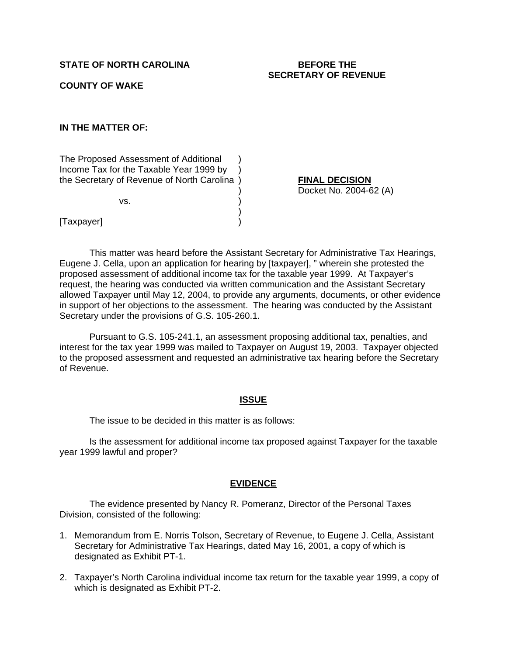# STATE OF NORTH CAROLINA BEFORE THE

# **SECRETARY OF REVENUE**

## **COUNTY OF WAKE**

## **IN THE MATTER OF:**

The Proposed Assessment of Additional ) Income Tax for the Taxable Year 1999 by ) the Secretary of Revenue of North Carolina ) **FINAL DECISION**

 $)$ 

 $\vee$ s.  $\qquad \qquad$  )

) Docket No. 2004-62 (A)

[Taxpayer] )

This matter was heard before the Assistant Secretary for Administrative Tax Hearings, Eugene J. Cella, upon an application for hearing by [taxpayer], " wherein she protested the proposed assessment of additional income tax for the taxable year 1999. At Taxpayer's request, the hearing was conducted via written communication and the Assistant Secretary allowed Taxpayer until May 12, 2004, to provide any arguments, documents, or other evidence in support of her objections to the assessment. The hearing was conducted by the Assistant Secretary under the provisions of G.S. 105-260.1.

 Pursuant to G.S. 105-241.1, an assessment proposing additional tax, penalties, and interest for the tax year 1999 was mailed to Taxpayer on August 19, 2003. Taxpayer objected to the proposed assessment and requested an administrative tax hearing before the Secretary of Revenue.

#### **ISSUE**

The issue to be decided in this matter is as follows:

 Is the assessment for additional income tax proposed against Taxpayer for the taxable year 1999 lawful and proper?

#### **EVIDENCE**

 The evidence presented by Nancy R. Pomeranz, Director of the Personal Taxes Division, consisted of the following:

- 1. Memorandum from E. Norris Tolson, Secretary of Revenue, to Eugene J. Cella, Assistant Secretary for Administrative Tax Hearings, dated May 16, 2001, a copy of which is designated as Exhibit PT-1.
- 2. Taxpayer's North Carolina individual income tax return for the taxable year 1999, a copy of which is designated as Exhibit PT-2.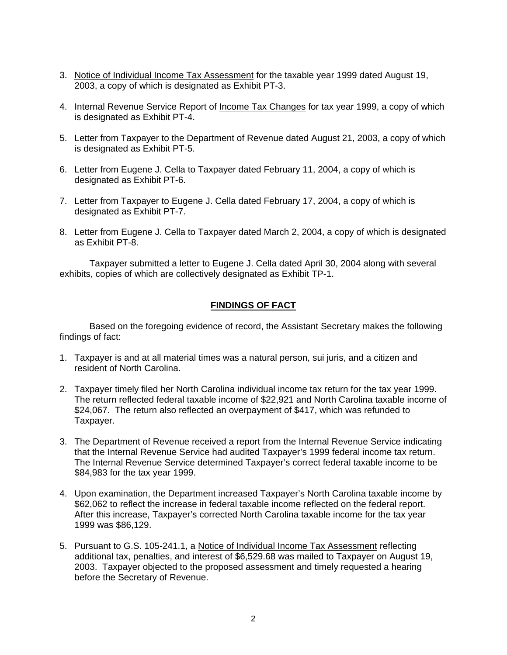- 3. Notice of Individual Income Tax Assessment for the taxable year 1999 dated August 19, 2003, a copy of which is designated as Exhibit PT-3.
- 4. Internal Revenue Service Report of Income Tax Changes for tax year 1999, a copy of which is designated as Exhibit PT-4.
- 5. Letter from Taxpayer to the Department of Revenue dated August 21, 2003, a copy of which is designated as Exhibit PT-5.
- 6. Letter from Eugene J. Cella to Taxpayer dated February 11, 2004, a copy of which is designated as Exhibit PT-6.
- 7. Letter from Taxpayer to Eugene J. Cella dated February 17, 2004, a copy of which is designated as Exhibit PT-7.
- 8. Letter from Eugene J. Cella to Taxpayer dated March 2, 2004, a copy of which is designated as Exhibit PT-8.

Taxpayer submitted a letter to Eugene J. Cella dated April 30, 2004 along with several exhibits, copies of which are collectively designated as Exhibit TP-1.

## **FINDINGS OF FACT**

 Based on the foregoing evidence of record, the Assistant Secretary makes the following findings of fact:

- 1. Taxpayer is and at all material times was a natural person, sui juris, and a citizen and resident of North Carolina.
- 2. Taxpayer timely filed her North Carolina individual income tax return for the tax year 1999. The return reflected federal taxable income of \$22,921 and North Carolina taxable income of \$24,067. The return also reflected an overpayment of \$417, which was refunded to Taxpayer.
- 3. The Department of Revenue received a report from the Internal Revenue Service indicating that the Internal Revenue Service had audited Taxpayer's 1999 federal income tax return. The Internal Revenue Service determined Taxpayer's correct federal taxable income to be \$84,983 for the tax year 1999.
- 4. Upon examination, the Department increased Taxpayer's North Carolina taxable income by \$62,062 to reflect the increase in federal taxable income reflected on the federal report. After this increase, Taxpayer's corrected North Carolina taxable income for the tax year 1999 was \$86,129.
- 5. Pursuant to G.S. 105-241.1, a Notice of Individual Income Tax Assessment reflecting additional tax, penalties, and interest of \$6,529.68 was mailed to Taxpayer on August 19, 2003. Taxpayer objected to the proposed assessment and timely requested a hearing before the Secretary of Revenue.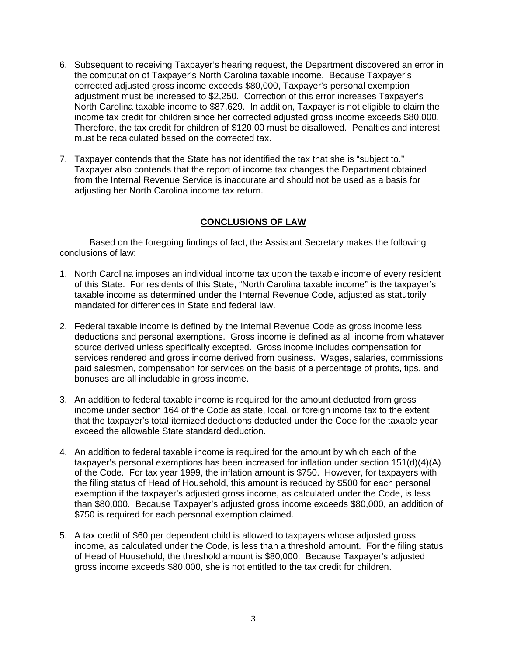- 6. Subsequent to receiving Taxpayer's hearing request, the Department discovered an error in the computation of Taxpayer's North Carolina taxable income. Because Taxpayer's corrected adjusted gross income exceeds \$80,000, Taxpayer's personal exemption adjustment must be increased to \$2,250. Correction of this error increases Taxpayer's North Carolina taxable income to \$87,629. In addition, Taxpayer is not eligible to claim the income tax credit for children since her corrected adjusted gross income exceeds \$80,000. Therefore, the tax credit for children of \$120.00 must be disallowed. Penalties and interest must be recalculated based on the corrected tax.
- 7. Taxpayer contends that the State has not identified the tax that she is "subject to." Taxpayer also contends that the report of income tax changes the Department obtained from the Internal Revenue Service is inaccurate and should not be used as a basis for adjusting her North Carolina income tax return.

# **CONCLUSIONS OF LAW**

 Based on the foregoing findings of fact, the Assistant Secretary makes the following conclusions of law:

- 1. North Carolina imposes an individual income tax upon the taxable income of every resident of this State. For residents of this State, "North Carolina taxable income" is the taxpayer's taxable income as determined under the Internal Revenue Code, adjusted as statutorily mandated for differences in State and federal law.
- 2. Federal taxable income is defined by the Internal Revenue Code as gross income less deductions and personal exemptions. Gross income is defined as all income from whatever source derived unless specifically excepted. Gross income includes compensation for services rendered and gross income derived from business. Wages, salaries, commissions paid salesmen, compensation for services on the basis of a percentage of profits, tips, and bonuses are all includable in gross income.
- 3. An addition to federal taxable income is required for the amount deducted from gross income under section 164 of the Code as state, local, or foreign income tax to the extent that the taxpayer's total itemized deductions deducted under the Code for the taxable year exceed the allowable State standard deduction.
- 4. An addition to federal taxable income is required for the amount by which each of the taxpayer's personal exemptions has been increased for inflation under section 151(d)(4)(A) of the Code. For tax year 1999, the inflation amount is \$750. However, for taxpayers with the filing status of Head of Household, this amount is reduced by \$500 for each personal exemption if the taxpayer's adjusted gross income, as calculated under the Code, is less than \$80,000. Because Taxpayer's adjusted gross income exceeds \$80,000, an addition of \$750 is required for each personal exemption claimed.
- 5. A tax credit of \$60 per dependent child is allowed to taxpayers whose adjusted gross income, as calculated under the Code, is less than a threshold amount. For the filing status of Head of Household, the threshold amount is \$80,000. Because Taxpayer's adjusted gross income exceeds \$80,000, she is not entitled to the tax credit for children.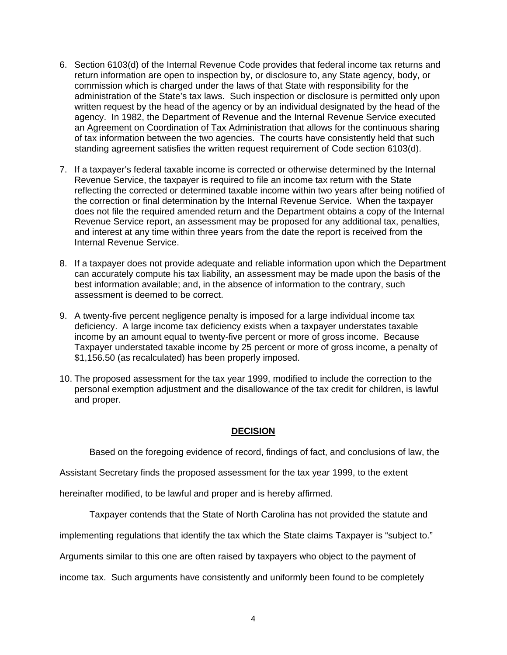- 6. Section 6103(d) of the Internal Revenue Code provides that federal income tax returns and return information are open to inspection by, or disclosure to, any State agency, body, or commission which is charged under the laws of that State with responsibility for the administration of the State's tax laws. Such inspection or disclosure is permitted only upon written request by the head of the agency or by an individual designated by the head of the agency. In 1982, the Department of Revenue and the Internal Revenue Service executed an Agreement on Coordination of Tax Administration that allows for the continuous sharing of tax information between the two agencies. The courts have consistently held that such standing agreement satisfies the written request requirement of Code section 6103(d).
- 7. If a taxpayer's federal taxable income is corrected or otherwise determined by the Internal Revenue Service, the taxpayer is required to file an income tax return with the State reflecting the corrected or determined taxable income within two years after being notified of the correction or final determination by the Internal Revenue Service. When the taxpayer does not file the required amended return and the Department obtains a copy of the Internal Revenue Service report, an assessment may be proposed for any additional tax, penalties, and interest at any time within three years from the date the report is received from the Internal Revenue Service.
- 8. If a taxpayer does not provide adequate and reliable information upon which the Department can accurately compute his tax liability, an assessment may be made upon the basis of the best information available; and, in the absence of information to the contrary, such assessment is deemed to be correct.
- 9. A twenty-five percent negligence penalty is imposed for a large individual income tax deficiency. A large income tax deficiency exists when a taxpayer understates taxable income by an amount equal to twenty-five percent or more of gross income. Because Taxpayer understated taxable income by 25 percent or more of gross income, a penalty of \$1,156.50 (as recalculated) has been properly imposed.
- 10. The proposed assessment for the tax year 1999, modified to include the correction to the personal exemption adjustment and the disallowance of the tax credit for children, is lawful and proper.

# **DECISION**

Based on the foregoing evidence of record, findings of fact, and conclusions of law, the

Assistant Secretary finds the proposed assessment for the tax year 1999, to the extent

hereinafter modified, to be lawful and proper and is hereby affirmed.

Taxpayer contends that the State of North Carolina has not provided the statute and

implementing regulations that identify the tax which the State claims Taxpayer is "subject to."

Arguments similar to this one are often raised by taxpayers who object to the payment of

income tax. Such arguments have consistently and uniformly been found to be completely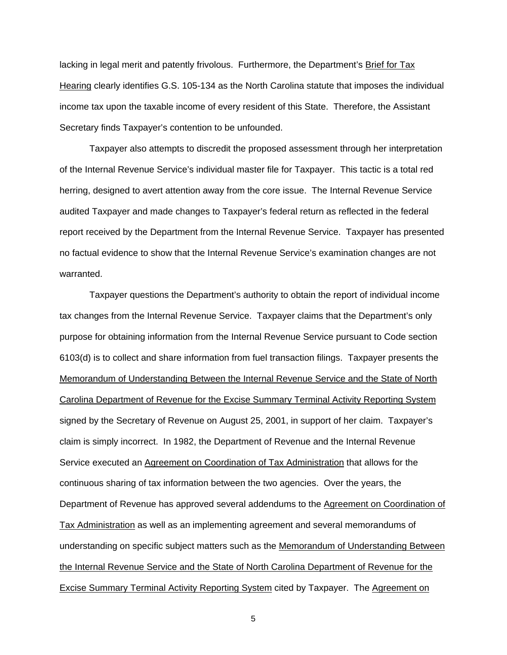lacking in legal merit and patently frivolous. Furthermore, the Department's Brief for Tax Hearing clearly identifies G.S. 105-134 as the North Carolina statute that imposes the individual income tax upon the taxable income of every resident of this State. Therefore, the Assistant Secretary finds Taxpayer's contention to be unfounded.

 Taxpayer also attempts to discredit the proposed assessment through her interpretation of the Internal Revenue Service's individual master file for Taxpayer. This tactic is a total red herring, designed to avert attention away from the core issue. The Internal Revenue Service audited Taxpayer and made changes to Taxpayer's federal return as reflected in the federal report received by the Department from the Internal Revenue Service. Taxpayer has presented no factual evidence to show that the Internal Revenue Service's examination changes are not warranted.

 Taxpayer questions the Department's authority to obtain the report of individual income tax changes from the Internal Revenue Service. Taxpayer claims that the Department's only purpose for obtaining information from the Internal Revenue Service pursuant to Code section 6103(d) is to collect and share information from fuel transaction filings. Taxpayer presents the Memorandum of Understanding Between the Internal Revenue Service and the State of North Carolina Department of Revenue for the Excise Summary Terminal Activity Reporting System signed by the Secretary of Revenue on August 25, 2001, in support of her claim. Taxpayer's claim is simply incorrect. In 1982, the Department of Revenue and the Internal Revenue Service executed an Agreement on Coordination of Tax Administration that allows for the continuous sharing of tax information between the two agencies. Over the years, the Department of Revenue has approved several addendums to the Agreement on Coordination of Tax Administration as well as an implementing agreement and several memorandums of understanding on specific subject matters such as the Memorandum of Understanding Between the Internal Revenue Service and the State of North Carolina Department of Revenue for the Excise Summary Terminal Activity Reporting System cited by Taxpayer. The Agreement on

5